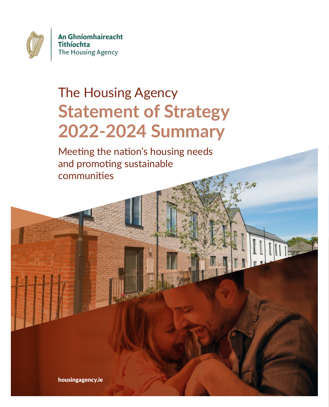

An Ghníomhaireacht Tithíochta The Housing Agency

# The Housing Agency **Statement of Strategy 2022-2024 Summary**

Meeting the nation's housing needs and promoting sustainable communities

 $||$ 

housingagency.ie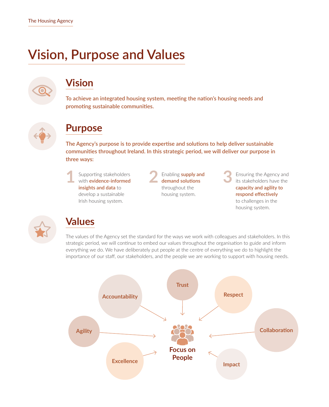### **Vision, Purpose and Values**



#### **Vision**

**To achieve an integrated housing system, meeting the nation's housing needs and promoting sustainable communities.**



#### **Purpose**

**The Agency's purpose is to provide expertise and solutions to help deliver sustainable communities throughout Ireland. In this strategic period, we will deliver our purpose in three ways:**



**1** Supporting stakeholders with **evidence-informed** 

**2** Enabling **supply and demand solutions** throughout the housing system.

**3** Ensuring the Agency and its stakeholders have the **capacity and agility to respond effectively**  to challenges in the housing system.



#### **Values**

The values of the Agency set the standard for the ways we work with colleagues and stakeholders. In this strategic period, we will continue to embed our values throughout the organisation to guide and inform everything we do. We have deliberately put people at the centre of everything we do to highlight the importance of our staff, our stakeholders, and the people we are working to support with housing needs.

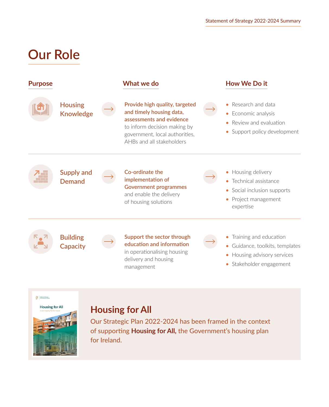### **Our Role**

| <b>Purpose</b> |                                    | What we do                                                                                                                                                                            | How We Do it                                                                                                              |
|----------------|------------------------------------|---------------------------------------------------------------------------------------------------------------------------------------------------------------------------------------|---------------------------------------------------------------------------------------------------------------------------|
|                | <b>Housing</b><br><b>Knowledge</b> | Provide high quality, targeted<br>and timely housing data,<br>assessments and evidence<br>to inform decision making by<br>government, local authorities,<br>AHBs and all stakeholders | • Research and data<br>• Economic analysis<br>• Review and evaluation<br>• Support policy development                     |
|                | <b>Supply and</b><br><b>Demand</b> | Co-ordinate the<br>implementation of<br><b>Government programmes</b><br>and enable the delivery<br>of housing solutions                                                               | • Housing delivery<br>• Technical assistance<br>• Social inclusion supports<br>• Project management<br>expertise          |
|                | <b>Building</b><br><b>Capacity</b> | Support the sector through<br>education and information<br>in operationalising housing<br>delivery and housing<br>management                                                          | • Training and education<br>• Guidance, toolkits, templates<br>• Housing advisory services<br>Stakeholder engagement<br>۰ |



#### **[Housing for All](https://www.gov.ie/en/publication/ef5ec-housing-for-all-a-new-housing-plan-for-ireland/)**

Our Strategic Plan 2022-2024 has been framed in the context of supporting **[Housing for All,](https://www.gov.ie/en/publication/ef5ec-housing-for-all-a-new-housing-plan-for-ireland/)** the Government's housing plan for Ireland.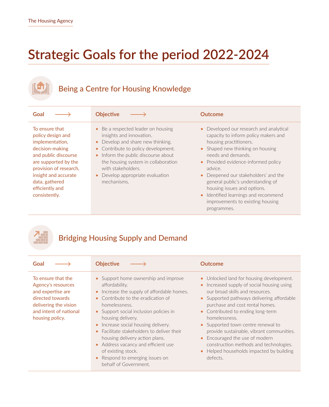## **Strategic Goals for the period 2022-2024**

#### **Being a Centre for Housing Knowledge**

| Goal                                                                                                                                                                                                                              | <b>Objective</b>                                                                                                                                                                                                                                                                                  | <b>Outcome</b>                                                                                                                                                                                                                                                                                                                                                                                                                                     |
|-----------------------------------------------------------------------------------------------------------------------------------------------------------------------------------------------------------------------------------|---------------------------------------------------------------------------------------------------------------------------------------------------------------------------------------------------------------------------------------------------------------------------------------------------|----------------------------------------------------------------------------------------------------------------------------------------------------------------------------------------------------------------------------------------------------------------------------------------------------------------------------------------------------------------------------------------------------------------------------------------------------|
| To ensure that<br>policy design and<br>implementation,<br>decision-making<br>and public discourse<br>are supported by the<br>provision of research,<br>insight and accurate<br>data, gathered<br>efficiently and<br>consistently. | • Be a respected leader on housing<br>insights and innovation.<br>• Develop and share new thinking.<br>• Contribute to policy development.<br>• Inform the public discourse about<br>the housing system in collaboration<br>with stakeholders.<br>• Develop appropriate evaluation<br>mechanisms. | Developed our research and analytical<br>$\bullet$<br>capacity to inform policy makers and<br>housing practitioners.<br>• Shaped new thinking on housing<br>needs and demands.<br>• Provided evidence-informed policy<br>advice.<br>• Deepened our stakeholders' and the<br>general public's understanding of<br>housing issues and options.<br>Identified learnings and recommend<br>$\bullet$<br>improvements to existing housing<br>programmes. |

#### **Bridging Housing Supply and Demand**

| Goal                                                                                                                                                    | <b>Objective</b>                                                                                                                                                                                                                                                                                                                                                                                                                                                 | <b>Outcome</b>                                                                                                                                                                                                                                                                                                                                                                                                                                                                                                           |
|---------------------------------------------------------------------------------------------------------------------------------------------------------|------------------------------------------------------------------------------------------------------------------------------------------------------------------------------------------------------------------------------------------------------------------------------------------------------------------------------------------------------------------------------------------------------------------------------------------------------------------|--------------------------------------------------------------------------------------------------------------------------------------------------------------------------------------------------------------------------------------------------------------------------------------------------------------------------------------------------------------------------------------------------------------------------------------------------------------------------------------------------------------------------|
| To ensure that the<br>Agency's resources<br>and expertise are<br>directed towards<br>delivering the vision<br>and intent of national<br>housing policy. | • Support home ownership and improve<br>affordability.<br>Increase the supply of affordable homes.<br>Contribute to the eradication of<br>homelessness.<br>• Support social inclusion policies in<br>housing delivery.<br>Increase social housing delivery.<br>Facilitate stakeholders to deliver their<br>housing delivery action plans.<br>• Address vacancy and efficient use<br>of existing stock.<br>Respond to emerging issues on<br>behalf of Government. | • Unlocked land for housing development.<br>Increased supply of social housing using<br>$\bullet$<br>our broad skills and resources.<br>• Supported pathways delivering affordable<br>purchase and cost rental homes.<br>• Contributed to ending long-term<br>homelessness.<br>• Supported town centre renewal to<br>provide sustainable, vibrant communities.<br>Encouraged the use of modern<br>$\bullet$<br>construction methods and technologies.<br>Helped households impacted by building<br>$\bullet$<br>defects. |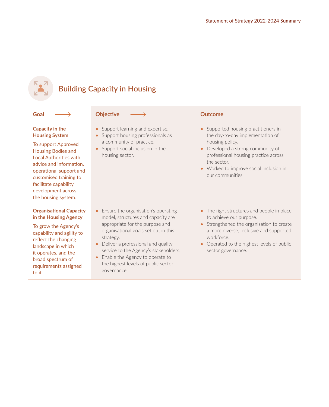

### **Building Capacity in Housing**

| Goal                                                                                                                                                                                                                                                                         | <b>Objective</b>                                                                                                                                                                                                                                                                                                                                                    | <b>Outcome</b>                                                                                                                                                                                                                                                  |
|------------------------------------------------------------------------------------------------------------------------------------------------------------------------------------------------------------------------------------------------------------------------------|---------------------------------------------------------------------------------------------------------------------------------------------------------------------------------------------------------------------------------------------------------------------------------------------------------------------------------------------------------------------|-----------------------------------------------------------------------------------------------------------------------------------------------------------------------------------------------------------------------------------------------------------------|
| Capacity in the<br><b>Housing System</b><br>To support Approved<br><b>Housing Bodies and</b><br>Local Authorities with<br>advice and information,<br>operational support and<br>customised training to<br>facilitate capability<br>development across<br>the housing system. | Support learning and expertise.<br>$\bullet$<br>Support housing professionals as<br>$\bullet$<br>a community of practice.<br>Support social inclusion in the<br>$\bullet$<br>housing sector.                                                                                                                                                                        | Supported housing practitioners in<br>$\bullet$<br>the day-to-day implementation of<br>housing policy.<br>Developed a strong community of<br>professional housing practice across<br>the sector.<br>• Worked to improve social inclusion in<br>our communities. |
| <b>Organisational Capacity</b><br>in the Housing Agency<br>To grow the Agency's<br>capability and agility to<br>reflect the changing<br>landscape in which<br>it operates, and the<br>broad spectrum of<br>requirements assigned<br>to it                                    | Ensure the organisation's operating<br>model, structures and capacity are<br>appropriate for the purpose and<br>organisational goals set out in this<br>strategy.<br>Deliver a professional and quality<br>$\bullet$<br>service to the Agency's stakeholders.<br>Enable the Agency to operate to<br>$\bullet$<br>the highest levels of public sector<br>governance. | The right structures and people in place<br>$\bullet$<br>to achieve our purpose.<br>Strengthened the organisation to create<br>a more diverse, inclusive and supported<br>workforce.<br>Operated to the highest levels of public<br>sector governance.          |